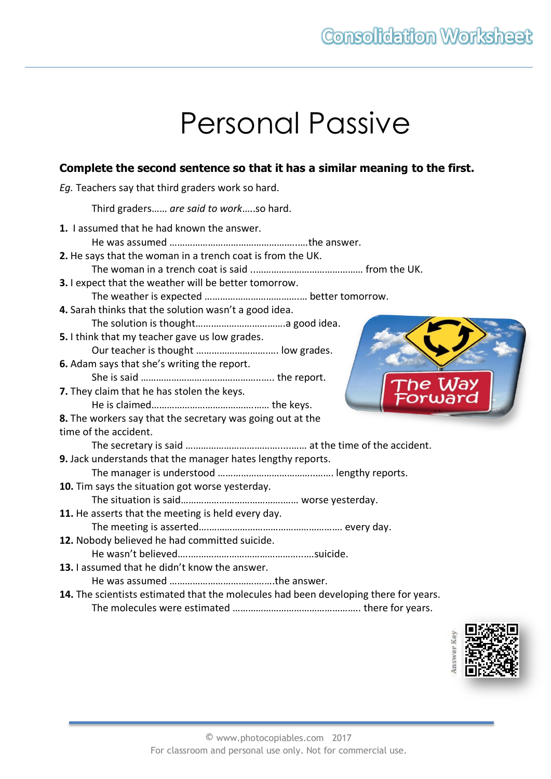# Personal Passive

## **Complete the second sentence so that it has a similar meaning to the first.**

*Eg.* Teachers say that third graders work so hard.

Third graders…… *are said to work*…..so hard.

| 1. I assumed that he had known the answer.                                           |  |  |
|--------------------------------------------------------------------------------------|--|--|
|                                                                                      |  |  |
| 2. He says that the woman in a trench coat is from the UK.                           |  |  |
|                                                                                      |  |  |
| 3. I expect that the weather will be better tomorrow.                                |  |  |
|                                                                                      |  |  |
| 4. Sarah thinks that the solution wasn't a good idea.                                |  |  |
|                                                                                      |  |  |
| 5. I think that my teacher gave us low grades.                                       |  |  |
| Our teacher is thought  low grades.                                                  |  |  |
| 6. Adam says that she's writing the report.                                          |  |  |
| ™he Way                                                                              |  |  |
| 7. They claim that he has stolen the keys.                                           |  |  |
|                                                                                      |  |  |
| 8. The workers say that the secretary was going out at the                           |  |  |
| time of the accident.                                                                |  |  |
|                                                                                      |  |  |
| 9. Jack understands that the manager hates lengthy reports.                          |  |  |
|                                                                                      |  |  |
| 10. Tim says the situation got worse yesterday.                                      |  |  |
|                                                                                      |  |  |
| 11. He asserts that the meeting is held every day.                                   |  |  |
|                                                                                      |  |  |
| 12. Nobody believed he had committed suicide.                                        |  |  |
|                                                                                      |  |  |
| 13. I assumed that he didn't know the answer.                                        |  |  |
|                                                                                      |  |  |
| 14. The scientists estimated that the molecules had been developing there for years. |  |  |
|                                                                                      |  |  |

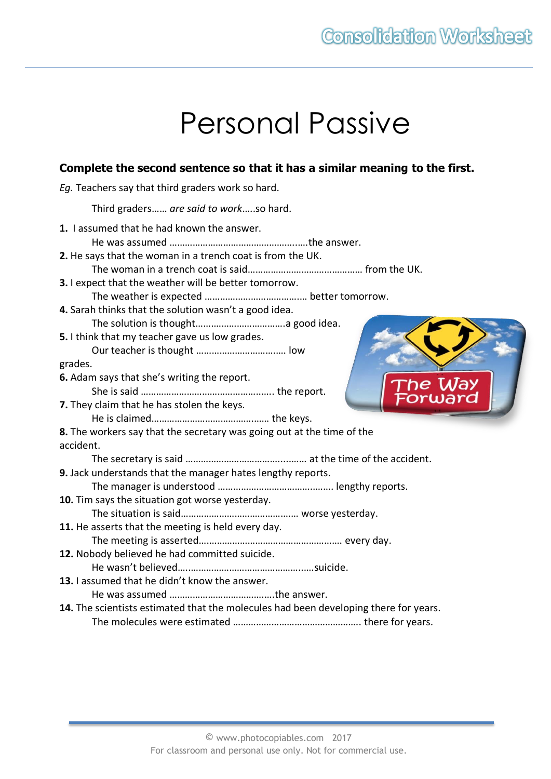# Personal Passive

### **Complete the second sentence so that it has a similar meaning to the first.**

*Eg.* Teachers say that third graders work so hard.

Third graders…… *are said to work*…..so hard.

| 1. I assumed that he had known the answer.                                           |  |  |
|--------------------------------------------------------------------------------------|--|--|
|                                                                                      |  |  |
| 2. He says that the woman in a trench coat is from the UK.                           |  |  |
|                                                                                      |  |  |
| 3. I expect that the weather will be better tomorrow.                                |  |  |
|                                                                                      |  |  |
| 4. Sarah thinks that the solution wasn't a good idea.                                |  |  |
|                                                                                      |  |  |
| 5. I think that my teacher gave us low grades.                                       |  |  |
|                                                                                      |  |  |
| grades.                                                                              |  |  |
| 6. Adam says that she's writing the report.                                          |  |  |
| The Way<br>Forward                                                                   |  |  |
| 7. They claim that he has stolen the keys.                                           |  |  |
|                                                                                      |  |  |
| 8. The workers say that the secretary was going out at the time of the               |  |  |
| accident.                                                                            |  |  |
|                                                                                      |  |  |
| 9. Jack understands that the manager hates lengthy reports.                          |  |  |
|                                                                                      |  |  |
| 10. Tim says the situation got worse yesterday.                                      |  |  |
|                                                                                      |  |  |
| 11. He asserts that the meeting is held every day.                                   |  |  |
|                                                                                      |  |  |
| 12. Nobody believed he had committed suicide.                                        |  |  |
|                                                                                      |  |  |
| 13. I assumed that he didn't know the answer.                                        |  |  |
|                                                                                      |  |  |
| 14. The scientists estimated that the molecules had been developing there for years. |  |  |
|                                                                                      |  |  |
|                                                                                      |  |  |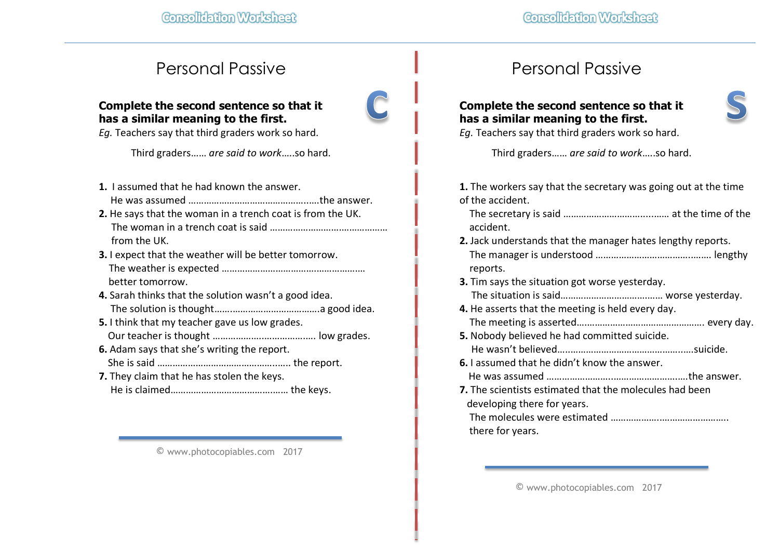# Personal Passive

#### **Complete the second sentence so that it has a similar meaning to the first.**

*Eg.* Teachers say that third graders work so hard.

Third graders…… *are said to work*…..so hard.

- **1.** I assumed that he had known the answer. He was assumed ………………………………………..….the answer.
- **2.** He says that the woman in a trench coat is from the UK. The woman in a trench coat is said ……………………….……………… from the UK.
- **3.** I expect that the weather will be better tomorrow. The weather is expected ……………………………….…………….… better tomorrow.
- **4.** Sarah thinks that the solution wasn't a good idea. The solution is thought…….…………………………….a good idea.
- **5.** I think that my teacher gave us low grades. Our teacher is thought ………………..…………….…. low grades.
- **6.** Adam says that she's writing the report. She is said ………………………………………..….. the report.
- **7.** They claim that he has stolen the keys. He is claimed………………………………….…… the keys.

© www.photocopiables.com 2017

# Personal Passive

### **Complete the second sentence so that it has a similar meaning to the first.**



*Eg.* Teachers say that third graders work so hard.

Third graders…… *are said to work*…..so hard.

**1.** The workers say that the secretary was going out at the time of the accident.

 The secretary is said ………………………….....…… at the time of the accident.

- **2.** Jack understands that the manager hates lengthy reports. The manager is understood ………………………………..……. lengthy reports.
- **3.** Tim says the situation got worse yesterday. The situation is said…………………………….…… worse yesterday.
- **4.** He asserts that the meeting is held every day. The meeting is asserted….………………………………………. every day.
- **5.** Nobody believed he had committed suicide.
	- He wasn't believed…..……………………………………..….suicide.
- **6.** I assumed that he didn't know the answer.
- He was assumed ……………………..…………………….….the answer.
- **7.** The scientists estimated that the molecules had been developing there for years.

 The molecules were estimated ………………..…………………….. there for years.

© www.photocopiables.com 2017